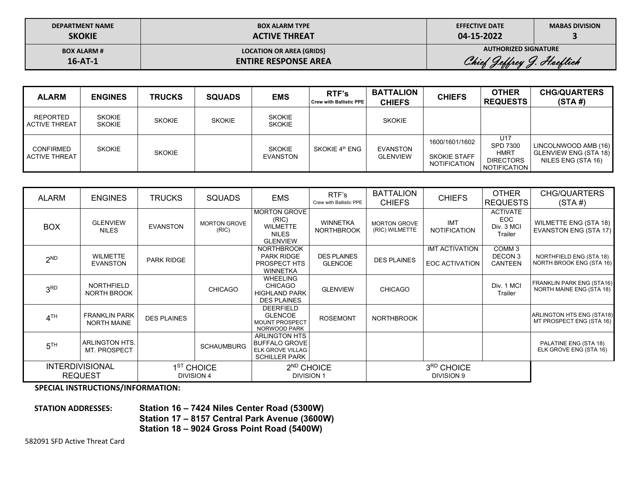| <b>DEPARTMENT NAME</b> |
|------------------------|
| <b>SKOKIE</b>          |

## **BOX ALARM TYPE ACTIVE THREAT**

**EFFECTIVE DATE 04‐15‐2022** 

**MABAS DIVISION 3** 

**BOX ALARM # 16‐AT‐1** 

**LOCATION OR AREA (GRIDS) ENTIRE RESPONSE AREA**  **AUTHORIZED SIGNATURE** 

Chief Jeffrey J. Hoeflich

| <b>ALARM</b>                             | <b>ENGINES</b>                 | <b>TRUCKS</b> | <b>SQUADS</b> | <b>EMS</b>                     | RTF's<br><b>Crew with Ballistic PPE</b> | <b>BATTALION</b><br><b>CHIEFS</b> | <b>CHIEFS</b>                                                | <b>OTHER</b><br><b>REQUESTS</b>                                           | <b>CHG/QUARTERS</b><br>(STA#)                                              |
|------------------------------------------|--------------------------------|---------------|---------------|--------------------------------|-----------------------------------------|-----------------------------------|--------------------------------------------------------------|---------------------------------------------------------------------------|----------------------------------------------------------------------------|
| <b>REPORTED</b><br><b>ACTIVE THREAT</b>  | <b>SKOKIE</b><br><b>SKOKIE</b> | <b>SKOKIE</b> | <b>SKOKIE</b> | <b>SKOKIE</b><br><b>SKOKIE</b> |                                         | <b>SKOKIE</b>                     |                                                              |                                                                           |                                                                            |
| <b>CONFIRMED</b><br><b>ACTIVE THREAT</b> | <b>SKOKIE</b>                  | <b>SKOKIE</b> |               | <b>SKOKIE</b><br>EVANSTON      | SKOKIE 4 <sup>th</sup> ENG              | EVANSTON<br>GLENVIEW              | 1600/1601/1602<br><b>SKOKIE STAFF</b><br><b>NOTIFICATION</b> | U17<br><b>SPD 7300</b><br>HMRT<br><b>DIRECTORS</b><br><b>NOTIFICATION</b> | LINCOLNWOOD AMB (16)<br><b>GLENVIEW ENG (STA 18)</b><br>NILES ENG (STA 16) |

| ALARM           | <b>ENGINES</b>                                                                                                                         | <b>TRUCKS</b>      | <b>SQUADS</b>                | <b>EMS</b>                                                                                      | RTF's<br>Crew with Ballistic PPE     | <b>BATTALION</b><br><b>CHIEFS</b>     | <b>CHIEFS</b>                                  | <b>OTHER</b><br><b>REQUESTS</b>                        | CHG/QUARTERS<br>(STA#)                                       |
|-----------------|----------------------------------------------------------------------------------------------------------------------------------------|--------------------|------------------------------|-------------------------------------------------------------------------------------------------|--------------------------------------|---------------------------------------|------------------------------------------------|--------------------------------------------------------|--------------------------------------------------------------|
| <b>BOX</b>      | <b>GLENVIEW</b><br><b>NILES</b>                                                                                                        | <b>EVANSTON</b>    | <b>MORTON GROVE</b><br>(RIC) | <b>MORTON GROVE</b><br>(RIC)<br><b>WILMETTE</b><br><b>NILES</b><br><b>GLENVIEW</b>              | <b>WINNETKA</b><br><b>NORTHBROOK</b> | <b>MORTON GROVE</b><br>(RIC) WILMETTE | <b>IMT</b><br><b>NOTIFICATION</b>              | <b>ACTIVATE</b><br><b>EOC</b><br>Div. 3 MCI<br>Trailer | WILMETTE ENG (STA 18)<br>EVANSTON ENG (STA 17)               |
| 2 <sub>ND</sub> | <b>WILMETTE</b><br><b>EVANSTON</b>                                                                                                     | PARK RIDGE         |                              | <b>NORTHBROOK</b><br><b>PARK RIDGE</b><br><b>PROSPECT HTS</b><br><b>WINNETKA</b>                | <b>DES PLAINES</b><br><b>GLENCOE</b> | <b>DES PLAINES</b>                    | <b>IMT ACTIVATION</b><br><b>EOC ACTIVATION</b> | COMM <sub>3</sub><br>DECON 3<br><b>CANTEEN</b>         | NORTHFIELD ENG (STA 18)<br>NORTH BROOK ENG (STA 16)          |
| 3 <sub>RD</sub> | NORTHFIELD<br>NORTH BROOK                                                                                                              |                    | <b>CHICAGO</b>               | <b>WHEELING</b><br><b>CHICAGO</b><br><b>HIGHLAND PARK</b><br><b>DES PLAINES</b>                 | <b>GLENVIEW</b>                      | <b>CHICAGO</b>                        |                                                | Div. 1 MCI<br>Trailer                                  | <b>FRANKLIN PARK ENG (STA16)</b><br>NORTH MAINE ENG (STA 18) |
| 4 <sup>TH</sup> | <b>FRANKLIN PARK</b><br><b>NORTH MAINE</b>                                                                                             | <b>DES PLAINES</b> |                              | <b>DEERFIELD</b><br><b>GLENCOE</b><br><b>MOUNT PROSPECT</b><br>NORWOOD PARK                     | <b>ROSEMONT</b>                      | <b>NORTHBROOK</b>                     |                                                |                                                        | ARLINGTON HTS ENG (STA18)<br>MT PROSPECT ENG (STA 16)        |
| 5 <sup>TH</sup> | <b>ARLINGTON HTS.</b><br>MT. PROSPECT                                                                                                  |                    | <b>SCHAUMBURG</b>            | <b>ARLINGTON HTS</b><br><b>BUFFALO GROVE</b><br><b>ELK GROVE VILLAG</b><br><b>SCHILLER PARK</b> |                                      |                                       |                                                |                                                        | PALATINE ENG (STA 18)<br>ELK GROVE ENG (STA 16)              |
|                 | <b>INTERDIVISIONAL</b><br>1 <sup>ST</sup> CHOICE<br>2 <sup>ND</sup> CHOICE<br><b>REQUEST</b><br><b>DIVISION 4</b><br><b>DIVISION 1</b> |                    |                              | 3RD CHOICE<br><b>DIVISION 9</b>                                                                 |                                      |                                       |                                                |                                                        |                                                              |

 **SPECIAL INSTRUCTIONS/INFORMATION:** 

**STATION ADDRESSES:**

 **Station 16 – 7424 Niles Center Road (5300W) Station 17 – 8157 Central Park Avenue (3600W) Station 18 – 9024 Gross Point Road (5400W)**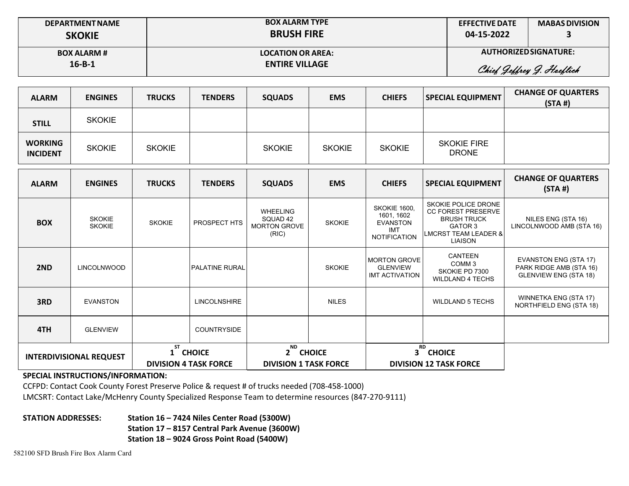| <b>DEPARTMENT NAME</b><br><b>SKOKIE</b> | <b>BOX ALARM TYPE</b><br><b>BRUSH FIRE</b> | <b>EFFECTIVE DATE</b><br>04-15-2022 | <b>MABAS DIVISION</b>     |
|-----------------------------------------|--------------------------------------------|-------------------------------------|---------------------------|
| <b>BOX ALARM #</b>                      | <b>LOCATION OR AREA:</b>                   | AUTHORIZED SIGNATURE:               |                           |
| $16 - B - 1$                            | <b>ENTIRE VILLAGE</b>                      |                                     | Chief Jeffrey J. Haeflich |

| <b>ALARM</b>                      | <b>ENGINES</b>                 | <b>TRUCKS</b> | <b>TENDERS</b>                           | <b>SQUADS</b>                                               | <b>EMS</b>    | <b>CHIEFS</b>                                                                             | <b>SPECIAL EQUIPMENT</b>                                                                                                               | <b>CHANGE OF QUARTERS</b><br>(STA#)                                                     |
|-----------------------------------|--------------------------------|---------------|------------------------------------------|-------------------------------------------------------------|---------------|-------------------------------------------------------------------------------------------|----------------------------------------------------------------------------------------------------------------------------------------|-----------------------------------------------------------------------------------------|
| <b>STILL</b>                      | <b>SKOKIE</b>                  |               |                                          |                                                             |               |                                                                                           |                                                                                                                                        |                                                                                         |
| <b>WORKING</b><br><b>INCIDENT</b> | <b>SKOKIE</b>                  | <b>SKOKIE</b> |                                          | <b>SKOKIE</b>                                               | <b>SKOKIE</b> | <b>SKOKIE</b>                                                                             | <b>SKOKIE FIRE</b><br><b>DRONE</b>                                                                                                     |                                                                                         |
| <b>ALARM</b>                      | <b>ENGINES</b>                 | <b>TRUCKS</b> | <b>TENDERS</b>                           | <b>SQUADS</b>                                               | <b>EMS</b>    | <b>CHIEFS</b>                                                                             | <b>SPECIAL EQUIPMENT</b>                                                                                                               | <b>CHANGE OF QUARTERS</b><br>(STA#)                                                     |
| <b>BOX</b>                        | <b>SKOKIE</b><br><b>SKOKIE</b> | <b>SKOKIE</b> | PROSPECT HTS                             | <b>WHEELING</b><br>SQUAD 42<br><b>MORTON GROVE</b><br>(RIC) | <b>SKOKIE</b> | <b>SKOKIE 1600,</b><br>1601, 1602<br><b>EVANSTON</b><br><b>IMT</b><br><b>NOTIFICATION</b> | SKOKIE POLICE DRONE<br><b>CC FOREST PRESERVE</b><br><b>BRUSH TRUCK</b><br>GATOR 3<br><b>LMCRST TEAM LEADER &amp;</b><br><b>LIAISON</b> | NILES ENG (STA 16)<br>LINCOLNWOOD AMB (STA 16)                                          |
| 2ND                               | LINCOLNWOOD                    |               | <b>PALATINE RURAL</b>                    |                                                             | <b>SKOKIE</b> | <b>MORTON GROVE</b><br><b>GLENVIEW</b><br><b>IMT ACTIVATION</b>                           | <b>CANTEEN</b><br>COMM <sub>3</sub><br>SKOKIE PD 7300<br><b>WILDLAND 4 TECHS</b>                                                       | <b>EVANSTON ENG (STA 17)</b><br>PARK RIDGE AMB (STA 16)<br><b>GLENVIEW ENG (STA 18)</b> |
| 3RD                               | <b>EVANSTON</b>                |               | <b>LINCOLNSHIRE</b>                      |                                                             | <b>NILES</b>  |                                                                                           | <b>WILDLAND 5 TECHS</b>                                                                                                                | WINNETKA ENG (STA 17)<br>NORTHFIELD ENG (STA 18)                                        |
| 4TH                               | <b>GLENVIEW</b>                |               | COUNTRYSIDE                              |                                                             |               |                                                                                           |                                                                                                                                        |                                                                                         |
| <b>INTERDIVISIONAL REQUEST</b>    |                                | <b>ST</b>     | 1 CHOICE<br><b>DIVISION 4 TASK FORCE</b> | <b>ND</b><br>2 CHOICE<br><b>DIVISION 1 TASK FORCE</b>       |               | <b>RD</b>                                                                                 | 3 CHOICE<br><b>DIVISION 12 TASK FORCE</b>                                                                                              |                                                                                         |

CCFPD: Contact Cook County Forest Preserve Police & request # of trucks needed (708‐458‐1000) LMCSRT: Contact Lake/McHenry County Specialized Response Team to determine resources (847‐270‐9111)

**STATION ADDRESSES: Station 16 – 7424 Niles Center Road (5300W) Station 17 – 8157 Central Park Avenue (3600W) Station 18 – 9024 Gross Point Road (5400W)**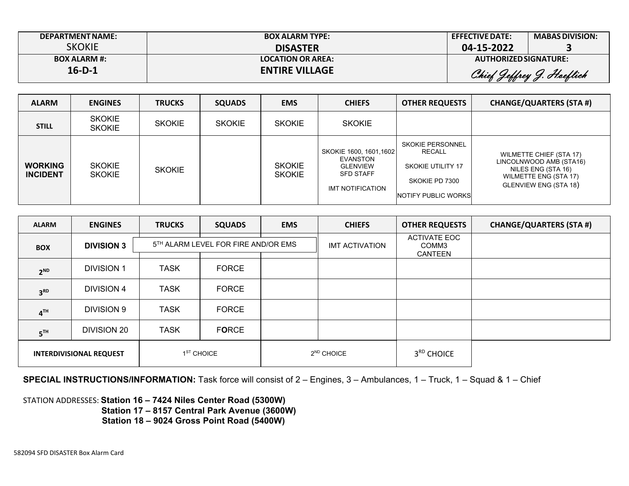| <b>DEPARTMENT NAME:</b> | <b>BOX ALARM TYPE:</b>   | <b>EFFECTIVE DATE:</b> | <b>MABAS DIVISION:</b>    |
|-------------------------|--------------------------|------------------------|---------------------------|
| SKOKIE                  | <b>DISASTER</b>          | 04-15-2022             |                           |
| <b>BOX ALARM #:</b>     | <b>LOCATION OR AREA:</b> | AUTHORIZED SIGNATURE:  |                           |
| $16-D-1$                | <b>ENTIRE VILLAGE</b>    |                        | Chief Jeffrey J. Hoeflich |

| <b>ALARM</b>                      | <b>ENGINES</b>                 | <b>TRUCKS</b> | <b>SQUADS</b> | <b>EMS</b>                     | <b>CHIEFS</b>                                                                                  | <b>OTHER REQUESTS</b>                                                                                          | <b>CHANGE/QUARTERS (STA #)</b>                                                                                                    |
|-----------------------------------|--------------------------------|---------------|---------------|--------------------------------|------------------------------------------------------------------------------------------------|----------------------------------------------------------------------------------------------------------------|-----------------------------------------------------------------------------------------------------------------------------------|
| <b>STILL</b>                      | <b>SKOKIE</b><br><b>SKOKIE</b> | <b>SKOKIE</b> | <b>SKOKIE</b> | <b>SKOKIE</b>                  | <b>SKOKIE</b>                                                                                  |                                                                                                                |                                                                                                                                   |
| <b>WORKING</b><br><b>INCIDENT</b> | <b>SKOKIE</b><br><b>SKOKIE</b> | <b>SKOKIE</b> |               | <b>SKOKIE</b><br><b>SKOKIE</b> | SKOKIE 1600, 1601, 1602<br>EVANSTON<br><b>GLENVIEW</b><br><b>SFD STAFF</b><br>IMT NOTIFICATION | <b>SKOKIE PERSONNEL</b><br><b>RECALL</b><br>SKOKIE UTILITY 17<br>SKOKIE PD 7300<br><b>INOTIFY PUBLIC WORKS</b> | <b>WILMETTE CHIEF (STA 17)</b><br>LINCOLNWOOD AMB (STA16)<br>NILES ENG (STA 16)<br>WILMETTE ENG (STA 17)<br>GLENVIEW ENG (STA 18) |

| <b>ALARM</b>    | <b>ENGINES</b>                 | <b>TRUCKS</b> | <b>SQUADS</b>                       | <b>EMS</b> | <b>CHIEFS</b>          | <b>OTHER REQUESTS</b>                   | <b>CHANGE/QUARTERS (STA #)</b> |
|-----------------|--------------------------------|---------------|-------------------------------------|------------|------------------------|-----------------------------------------|--------------------------------|
| <b>BOX</b>      | <b>DIVISION 3</b>              |               | 5TH ALARM LEVEL FOR FIRE AND/OR EMS |            | <b>IMT ACTIVATION</b>  | <b>ACTIVATE EOC</b><br>COMM3<br>CANTEEN |                                |
| $2^{ND}$        | <b>DIVISION 1</b>              | <b>TASK</b>   | <b>FORCE</b>                        |            |                        |                                         |                                |
| 3 <sup>RD</sup> | <b>DIVISION 4</b>              | <b>TASK</b>   | <b>FORCE</b>                        |            |                        |                                         |                                |
| 4 <sup>TH</sup> | <b>DIVISION 9</b>              | <b>TASK</b>   | <b>FORCE</b>                        |            |                        |                                         |                                |
| 5 <sup>TH</sup> | DIVISION 20                    | <b>TASK</b>   | <b>FORCE</b>                        |            |                        |                                         |                                |
|                 | <b>INTERDIVISIONAL REQUEST</b> |               | $1ST$ CHOICE                        |            | 2 <sup>ND</sup> CHOICE | 3 <sup>RD</sup> CHOICE                  |                                |

**SPECIAL INSTRUCTIONS/INFORMATION:** Task force will consist of 2 – Engines, 3 – Ambulances, 1 – Truck, 1 – Squad & 1 – Chief

STATION ADDRESSES: **Station 16 – 7424 Niles Center Road (5300W) Station 17 – 8157 Central Park Avenue (3600W) Station 18 – 9024 Gross Point Road (5400W)**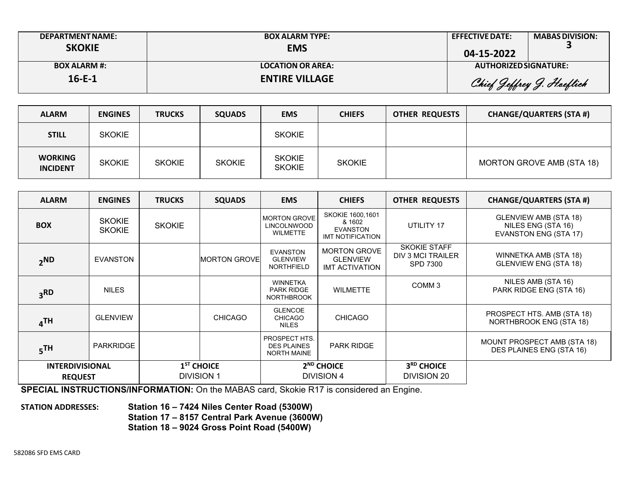| <b>DEPARTMENT NAME:</b><br><b>SKOKIE</b> | <b>BOX ALARM TYPE:</b><br><b>EMS</b> | <b>EFFECTIVE DATE:</b><br>04-15-2022 | <b>MABAS DIVISION:</b>    |
|------------------------------------------|--------------------------------------|--------------------------------------|---------------------------|
| <b>BOX ALARM #:</b>                      | <b>LOCATION OR AREA:</b>             | AUTHORIZED SIGNATURE:                |                           |
| $16 - E - 1$                             | <b>ENTIRE VILLAGE</b>                |                                      | Chief Jeffrey J. Hoeflich |

| <b>ALARM</b>                      | <b>ENGINES</b> | <b>TRUCKS</b> | <b>SQUADS</b> | <b>EMS</b>                     | <b>CHIEFS</b> | <b>OTHER REQUESTS</b> | <b>CHANGE/QUARTERS (STA #)</b> |
|-----------------------------------|----------------|---------------|---------------|--------------------------------|---------------|-----------------------|--------------------------------|
| <b>STILL</b>                      | <b>SKOKIE</b>  |               |               | <b>SKOKIE</b>                  |               |                       |                                |
| <b>WORKING</b><br><b>INCIDENT</b> | <b>SKOKIE</b>  | <b>SKOKIE</b> | <b>SKOKIE</b> | <b>SKOKIE</b><br><b>SKOKIE</b> | <b>SKOKIE</b> |                       | MORTON GROVE AMB (STA 18)      |

| <b>ALARM</b>                             | <b>ENGINES</b>                 | <b>TRUCKS</b> | <b>SQUADS</b>                     | <b>EMS</b>                                                   | <b>CHIEFS</b>                                                            | <b>OTHER REQUESTS</b>                                       | <b>CHANGE/QUARTERS (STA #)</b>                                              |
|------------------------------------------|--------------------------------|---------------|-----------------------------------|--------------------------------------------------------------|--------------------------------------------------------------------------|-------------------------------------------------------------|-----------------------------------------------------------------------------|
| <b>BOX</b>                               | <b>SKOKIE</b><br><b>SKOKIE</b> | <b>SKOKIE</b> |                                   | <b>MORTON GROVE</b><br><b>LINCOLNWOOD</b><br><b>WILMETTE</b> | SKOKIE 1600,1601<br>& 1602<br><b>EVANSTON</b><br><b>IMT NOTIFICATION</b> | UTILITY 17                                                  | GLENVIEW AMB (STA 18)<br>NILES ENG (STA 16)<br><b>EVANSTON ENG (STA 17)</b> |
| $2$ <sub>ND</sub>                        | <b>EVANSTON</b>                |               | <b>IMORTON GROVEI</b>             | <b>EVANSTON</b><br><b>GLENVIEW</b><br><b>NORTHFIELD</b>      | <b>MORTON GROVE</b><br><b>GLENVIEW</b><br><b>IMT ACTIVATION</b>          | <b>SKOKIE STAFF</b><br>DIV 3 MCI TRAILER<br><b>SPD 7300</b> | WINNETKA AMB (STA 18)<br><b>GLENVIEW ENG (STA 18)</b>                       |
| <b>3RD</b>                               | <b>NILES</b>                   |               |                                   | <b>WINNETKA</b><br><b>PARK RIDGE</b><br><b>NORTHBROOK</b>    | <b>WILMETTE</b>                                                          | COMM <sub>3</sub>                                           | NILES AMB (STA 16)<br>PARK RIDGE ENG (STA 16)                               |
| $\mathbf{A}^{\mathsf{TH}}$               | <b>GLENVIEW</b>                |               | <b>CHICAGO</b>                    | <b>GLENCOE</b><br><b>CHICAGO</b><br><b>NILES</b>             | <b>CHICAGO</b>                                                           |                                                             | PROSPECT HTS. AMB (STA 18)<br>NORTHBROOK ENG (STA 18)                       |
| 5 <sup>TH</sup>                          | <b>PARKRIDGE</b>               |               |                                   | PROSPECT HTS.<br><b>DES PLAINES</b><br><b>NORTH MAINE</b>    | <b>PARK RIDGE</b>                                                        |                                                             | MOUNT PROSPECT AMB (STA 18)<br>DES PLAINES ENG (STA 16)                     |
| <b>INTERDIVISIONAL</b><br><b>REQUEST</b> |                                |               | $1ST$ CHOICE<br><b>DIVISION 1</b> |                                                              | 2 <sup>ND</sup> CHOICE<br><b>DIVISION 4</b>                              | 3 <sup>RD</sup> CHOICE<br>DIVISION 20                       |                                                                             |

**SPECIAL INSTRUCTIONS/INFORMATION:** On the MABAS card, Skokie R17 is considered an Engine.

**STATION ADDRESSES:** 

 **Station 16 – 7424 Niles Center Road (5300W) Station 17 – 8157 Central Park Avenue (3600W) Station 18 – 9024 Gross Point Road (5400W)**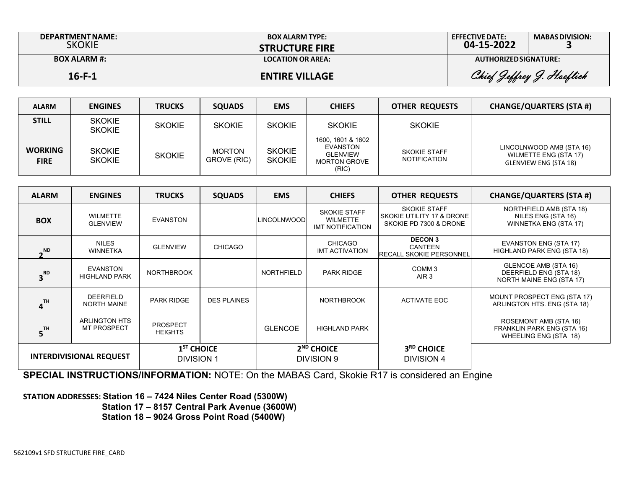| DEPARTMENT NAME:<br>SKOKIE | <b>BOX ALARM TYPE:</b><br><b>STRUCTURE FIRE</b> | <b>EFFECTIVE DATE:</b><br>04-15-2022 | <b>MABAS DIVISION:</b>    |
|----------------------------|-------------------------------------------------|--------------------------------------|---------------------------|
| <b>BOX ALARM #:</b>        | <b>LOCATION OR AREA:</b>                        | AUTHORIZED SIGNATURE:                |                           |
| $16 - F - 1$               | <b>ENTIRE VILLAGE</b>                           |                                      | Chief Jeffrey J. Hoeflich |

| <b>ALARM</b>                  | <b>ENGINES</b>                 | <b>TRUCKS</b> | <b>SQUADS</b>                | <b>EMS</b>                     | <b>CHIEFS</b>                                                                    | <b>OTHER REQUESTS</b>                      | <b>CHANGE/QUARTERS (STA #)</b>                                             |
|-------------------------------|--------------------------------|---------------|------------------------------|--------------------------------|----------------------------------------------------------------------------------|--------------------------------------------|----------------------------------------------------------------------------|
| <b>STILL</b>                  | <b>SKOKIE</b><br><b>SKOKIE</b> | <b>SKOKIE</b> | <b>SKOKIE</b>                | <b>SKOKIE</b>                  | <b>SKOKIE</b>                                                                    | <b>SKOKIE</b>                              |                                                                            |
| <b>WORKING</b><br><b>FIRE</b> | <b>SKOKIE</b><br><b>SKOKIE</b> | <b>SKOKIE</b> | <b>MORTON</b><br>GROVE (RIC) | <b>SKOKIE</b><br><b>SKOKIE</b> | 1600, 1601 & 1602<br>EVANSTON<br><b>GLENVIEW</b><br><b>MORTON GROVE</b><br>(RIC) | <b>SKOKIE STAFF</b><br><b>NOTIFICATION</b> | LINCOLNWOOD AMB (STA 16)<br>WILMETTE ENG (STA 17)<br>GLENVIEW ENG (STA 18) |

| <b>ALARM</b>                   | <b>ENGINES</b>                             | <b>TRUCKS</b>                     | <b>SQUADS</b>      | <b>EMS</b>                 | <b>CHIEFS</b>                                              | <b>OTHER REQUESTS</b>                                                      | <b>CHANGE/QUARTERS (STA #)</b>                                               |
|--------------------------------|--------------------------------------------|-----------------------------------|--------------------|----------------------------|------------------------------------------------------------|----------------------------------------------------------------------------|------------------------------------------------------------------------------|
| <b>BOX</b>                     | <b>WILMETTE</b><br><b>GLENVIEW</b>         | EVANSTON                          |                    | <b>LINCOLNWOOD</b>         | <b>SKOKIE STAFF</b><br><b>WILMETTE</b><br>IMT NOTIFICATION | <b>SKOKIE STAFF</b><br>SKOKIE UTILITY 17 & DRONE<br>SKOKIE PD 7300 & DRONE | NORTHFIELD AMB (STA 18)<br>NILES ENG (STA 16)<br>WINNETKA ENG (STA 17)       |
| <b>ND</b>                      | <b>NILES</b><br><b>WINNETKA</b>            | <b>GLENVIEW</b>                   | <b>CHICAGO</b>     |                            | CHICAGO<br><b>IMT ACTIVATION</b>                           | <b>DECON 3</b><br><b>CANTEEN</b><br>IRECALL SKOKIE PERSONNEL               | <b>EVANSTON ENG (STA 17)</b><br>HIGHLAND PARK ENG (STA 18)                   |
| 3 <sup>RD</sup>                | EVANSTON<br><b>HIGHLAND PARK</b>           | <b>NORTHBROOK</b>                 |                    | <b>NORTHFIELD</b>          | <b>PARK RIDGE</b>                                          | COMM <sub>3</sub><br>AIR <sub>3</sub>                                      | GLENCOE AMB (STA 16)<br>DEERFIELD ENG (STA 18)<br>NORTH MAINE ENG (STA 17)   |
| TH                             | <b>DEERFIELD</b><br><b>NORTH MAINE</b>     | <b>PARK RIDGE</b>                 | <b>DES PLAINES</b> |                            | <b>NORTHBROOK</b>                                          | ACTIVATE EOC                                                               | MOUNT PROSPECT ENG (STA 17)<br>ARLINGTON HTS. ENG (STA 18)                   |
| TH                             | <b>ARLINGTON HTS</b><br><b>MT PROSPECT</b> | <b>PROSPECT</b><br><b>HEIGHTS</b> |                    | <b>GLENCOE</b>             | <b>HIGHLAND PARK</b>                                       |                                                                            | ROSEMONT AMB (STA 16)<br>FRANKLIN PARK ENG (STA 16)<br>WHEELING ENG (STA 18) |
| <b>INTERDIVISIONAL REQUEST</b> |                                            | $1ST$ CHOICE<br><b>DIVISION 1</b> |                    | $2ND$ CHOICE<br>DIVISION 9 |                                                            | 3 <sup>RD</sup> CHOICE<br><b>DIVISION 4</b>                                |                                                                              |

**SPECIAL INSTRUCTIONS/INFORMATION:** NOTE: On the MABAS Card, Skokie R17 is considered an Engine

**STATION ADDRESSES: Station 16 – 7424 Niles Center Road (5300W)** 

 **Station 17 – 8157 Central Park Avenue (3600W)** 

 **Station 18 – 9024 Gross Point Road (5400W)**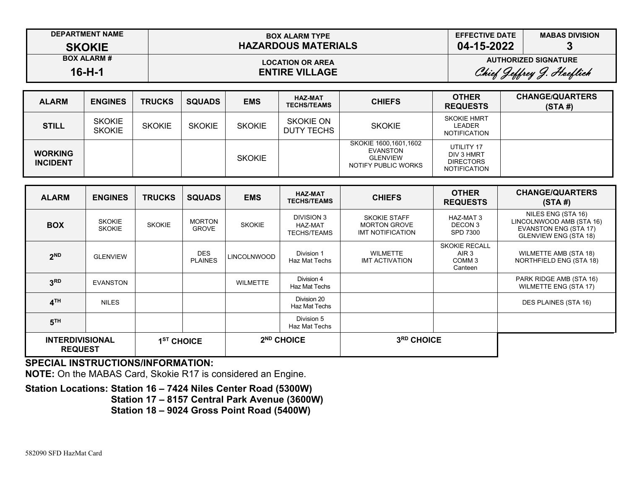| <b>DEPARTMENT NAME</b> | <b>BOX ALARM TYPE</b>      | <b>EFFECTIVE DATE</b>       | <b>MABAS DIVISION</b> |  |
|------------------------|----------------------------|-----------------------------|-----------------------|--|
| <b>SKOKIE</b>          | <b>HAZARDOUS MATERIALS</b> | 04-15-2022                  |                       |  |
| <b>BOX ALARM#</b>      | <b>LOCATION OR AREA</b>    | <b>AUTHORIZED SIGNATURE</b> |                       |  |
| $16-H-1$               | <b>ENTIRE VILLAGE</b>      | Chief Jeffrey J. Hoeflich   |                       |  |
|                        |                            | ________                    | ----------------      |  |

| <b>ALARM</b>                      | <b>ENGINES</b>                 | <b>TRUCKS</b> | <b>SQUADS</b> | <b>EMS</b>    | <b>HAZ-MAT</b><br><b>TECHS/TEAMS</b> | <b>CHIEFS</b>                                                               | <b>OTHER</b><br><b>REQUESTS</b>                                     | <b>CHANGE/QUARTERS</b><br>(STA#) |
|-----------------------------------|--------------------------------|---------------|---------------|---------------|--------------------------------------|-----------------------------------------------------------------------------|---------------------------------------------------------------------|----------------------------------|
| <b>STILL</b>                      | <b>SKOKIE</b><br><b>SKOKIE</b> | <b>SKOKIE</b> | <b>SKOKIE</b> | <b>SKOKIE</b> | <b>SKOKIE ON</b><br>DUTY TECHS       | <b>SKOKIE</b>                                                               | <b>SKOKIE HMRT</b><br><b>LEADER</b><br><b>NOTIFICATION</b>          |                                  |
| <b>WORKING</b><br><b>INCIDENT</b> |                                |               |               | <b>SKOKIE</b> |                                      | SKOKIE 1600,1601,1602<br>EVANSTON<br><b>GLENVIEW</b><br>NOTIFY PUBLIC WORKS | UTILITY 17<br>DIV 3 HMRT<br><b>DIRECTORS</b><br><b>NOTIFICATION</b> |                                  |

| <b>ALARM</b>                             | <b>ENGINES</b>                 | <b>TRUCKS</b>          | <b>SQUADS</b>                 | <b>EMS</b>             | <b>HAZ-MAT</b><br><b>TECHS/TEAMS</b>        | <b>CHIEFS</b>                                                         | <b>OTHER</b><br><b>REQUESTS</b>                               | <b>CHANGE/QUARTERS</b><br>(STA#)                                                                               |
|------------------------------------------|--------------------------------|------------------------|-------------------------------|------------------------|---------------------------------------------|-----------------------------------------------------------------------|---------------------------------------------------------------|----------------------------------------------------------------------------------------------------------------|
| <b>BOX</b>                               | <b>SKOKIE</b><br><b>SKOKIE</b> | <b>SKOKIE</b>          | <b>MORTON</b><br><b>GROVE</b> | <b>SKOKIE</b>          | DIVISION 3<br>HAZ-MAT<br><b>TECHS/TEAMS</b> | <b>SKOKIE STAFF</b><br><b>MORTON GROVE</b><br><b>IMT NOTIFICATION</b> | HAZ-MAT 3<br>DECON 3<br>SPD 7300                              | NILES ENG (STA 16)<br>LINCOLNWOOD AMB (STA 16)<br><b>EVANSTON ENG (STA 17)</b><br><b>GLENVIEW ENG (STA 18)</b> |
| 2 <sup>ND</sup>                          | <b>GLENVIEW</b>                |                        | <b>DES</b><br><b>PLAINES</b>  | <b>LINCOLNWOOD</b>     | Division 1<br>Haz Mat Techs                 | <b>WILMETTE</b><br><b>IMT ACTIVATION</b>                              | <b>SKOKIE RECALL</b><br>AIR 3<br>COMM <sub>3</sub><br>Canteen | WILMETTE AMB (STA 18)<br>NORTHFIELD ENG (STA 18)                                                               |
| 3 <sup>RD</sup>                          | <b>EVANSTON</b>                |                        |                               | <b>WILMETTE</b>        | Division 4<br>Haz Mat Techs                 |                                                                       |                                                               | PARK RIDGE AMB (STA 16)<br><b>WILMETTE ENG (STA 17)</b>                                                        |
| 4 <sup>TH</sup>                          | <b>NILES</b>                   |                        |                               |                        | Division 20<br>Haz Mat Techs                |                                                                       |                                                               | DES PLAINES (STA 16)                                                                                           |
| 5 <sup>TH</sup>                          |                                |                        |                               |                        | Division 5<br>Haz Mat Techs                 |                                                                       |                                                               |                                                                                                                |
| <b>INTERDIVISIONAL</b><br><b>REQUEST</b> |                                | 1 <sup>ST</sup> CHOICE |                               | 2 <sup>ND</sup> CHOICE |                                             | 3RD CHOICE                                                            |                                                               |                                                                                                                |

**NOTE:** On the MABAS Card, Skokie R17 is considered an Engine.

## **Station Locations: Station 16 – 7424 Niles Center Road (5300W) Station 17 – 8157 Central Park Avenue (3600W)**

**Station 18 – 9024 Gross Point Road (5400W)**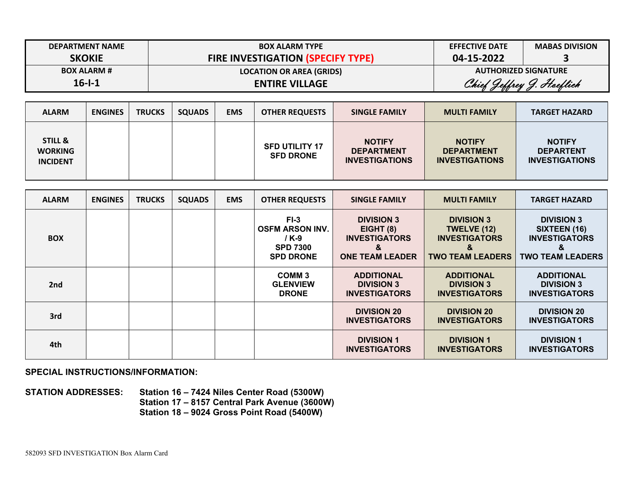| <b>DEPARTMENT NAME</b> | <b>BOX ALARM TYPE</b>                    | <b>EFFECTIVE DATE</b>       | <b>MABAS DIVISION</b> |  |
|------------------------|------------------------------------------|-----------------------------|-----------------------|--|
| <b>SKOKIE</b>          | <b>FIRE INVESTIGATION (SPECIFY TYPE)</b> | 04-15-2022                  |                       |  |
| <b>BOX ALARM #</b>     | <b>LOCATION OR AREA (GRIDS)</b>          | <b>AUTHORIZED SIGNATURE</b> |                       |  |
| $16 - 1 - 1$           | <b>ENTIRE VILLAGE</b>                    | Chief Jeffrey J. Hoeflich   |                       |  |

| <b>ALARM</b>                                            | <b>ENGINES</b> | <b>TRUCKS</b> | <b>SQUADS</b> | <b>EMS</b> | <b>OTHER REQUESTS</b>                     | <b>SINGLE FAMILY</b>                                        | <b>MULTI FAMILY</b>                                         | <b>TARGET HAZARD</b>                                       |
|---------------------------------------------------------|----------------|---------------|---------------|------------|-------------------------------------------|-------------------------------------------------------------|-------------------------------------------------------------|------------------------------------------------------------|
| <b>STILL &amp;</b><br><b>WORKING</b><br><b>INCIDENT</b> |                |               |               |            | <b>SFD UTILITY 17</b><br><b>SFD DRONE</b> | <b>NOTIFY</b><br><b>DEPARTMENT</b><br><b>INVESTIGATIONS</b> | <b>NOTIFY</b><br><b>DEPARTMENT</b><br><b>INVESTIGATIONS</b> | <b>NOTIFY</b><br><b>DEPARTENT</b><br><b>INVESTIGATIONS</b> |

| <b>ALARM</b> | <b>ENGINES</b> | <b>TRUCKS</b> | <b>SQUADS</b> | <b>EMS</b> | <b>OTHER REQUESTS</b>                                                            | <b>SINGLE FAMILY</b>                                                                  | <b>MULTI FAMILY</b>                                                                             | <b>TARGET HAZARD</b>                                                                      |
|--------------|----------------|---------------|---------------|------------|----------------------------------------------------------------------------------|---------------------------------------------------------------------------------------|-------------------------------------------------------------------------------------------------|-------------------------------------------------------------------------------------------|
| <b>BOX</b>   |                |               |               |            | $F1-3$<br><b>OSFM ARSON INV.</b><br>/ K-9<br><b>SPD 7300</b><br><b>SPD DRONE</b> | <b>DIVISION 3</b><br>EIGHT (8)<br><b>INVESTIGATORS</b><br>&<br><b>ONE TEAM LEADER</b> | <b>DIVISION 3</b><br><b>TWELVE (12)</b><br><b>INVESTIGATORS</b><br>ă<br><b>TWO TEAM LEADERS</b> | <b>DIVISION 3</b><br>SIXTEEN (16)<br><b>INVESTIGATORS</b><br>&<br><b>TWO TEAM LEADERS</b> |
| 2nd          |                |               |               |            | COMM <sub>3</sub><br><b>GLENVIEW</b><br><b>DRONE</b>                             | <b>ADDITIONAL</b><br><b>DIVISION 3</b><br><b>INVESTIGATORS</b>                        | <b>ADDITIONAL</b><br><b>DIVISION 3</b><br><b>INVESTIGATORS</b>                                  | <b>ADDITIONAL</b><br><b>DIVISION 3</b><br><b>INVESTIGATORS</b>                            |
| 3rd          |                |               |               |            |                                                                                  | <b>DIVISION 20</b><br><b>INVESTIGATORS</b>                                            | <b>DIVISION 20</b><br><b>INVESTIGATORS</b>                                                      | <b>DIVISION 20</b><br><b>INVESTIGATORS</b>                                                |
| 4th          |                |               |               |            |                                                                                  | <b>DIVISION 1</b><br><b>INVESTIGATORS</b>                                             | <b>DIVISION 1</b><br><b>INVESTIGATORS</b>                                                       | <b>DIVISION 1</b><br><b>INVESTIGATORS</b>                                                 |

**STATION ADDRESSES: Station 16 – 7424 Niles Center Road (5300W) Station 17 – 8157 Central Park Avenue (3600W) Station 18 – 9024 Gross Point Road (5400W)**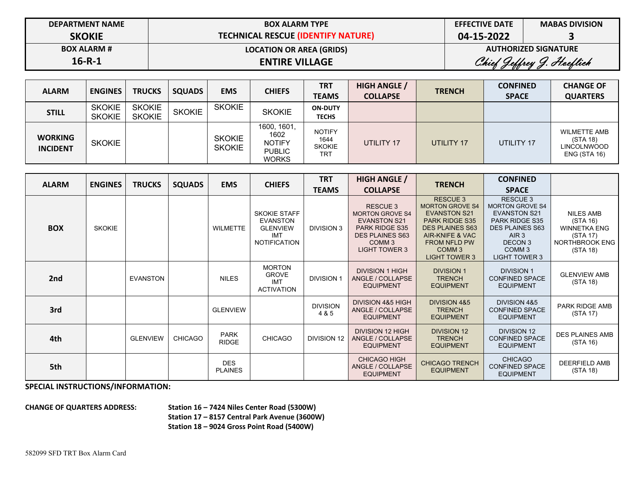| <b>DEPARTMENT NAME</b> | <b>BOX ALARM TYPE</b>                     | <b>EFFECTIVE DATE</b>       | <b>MABAS DIVISION</b> |  |
|------------------------|-------------------------------------------|-----------------------------|-----------------------|--|
| <b>SKOKIE</b>          | <b>TECHNICAL RESCUE (IDENTIFY NATURE)</b> | 04-15-2022                  |                       |  |
| <b>BOX ALARM #</b>     | <b>LOCATION OR AREA (GRIDS)</b>           | <b>AUTHORIZED SIGNATURE</b> |                       |  |
| $16 - R - 1$           | <b>ENTIRE VILLAGE</b>                     | Chief Jeffrey J. Hoeflich   |                       |  |

| <b>ALARM</b>                      | <b>ENGINES</b>                 | <b>TRUCKS</b>                  | <b>SQUADS</b> | <b>EMS</b>                     | <b>CHIEFS</b>                                                         | <b>TRT</b><br><b>TEAMS</b>                           | <b>HIGH ANGLE /</b><br><b>COLLAPSE</b> | <b>TRENCH</b> | <b>CONFINED</b><br><b>SPACE</b> | <b>CHANGE OF</b><br><b>QUARTERS</b>                                   |
|-----------------------------------|--------------------------------|--------------------------------|---------------|--------------------------------|-----------------------------------------------------------------------|------------------------------------------------------|----------------------------------------|---------------|---------------------------------|-----------------------------------------------------------------------|
| <b>STILL</b>                      | <b>SKOKIE</b><br><b>SKOKIE</b> | <b>SKOKIE</b><br><b>SKOKIE</b> | <b>SKOKIE</b> | <b>SKOKIE</b>                  | <b>SKOKIE</b>                                                         | <b>ON-DUTY</b><br><b>TECHS</b>                       |                                        |               |                                 |                                                                       |
| <b>WORKING</b><br><b>INCIDENT</b> | <b>SKOKIE</b>                  |                                |               | <b>SKOKIE</b><br><b>SKOKIE</b> | 1600, 1601,<br>1602<br><b>NOTIFY</b><br><b>PUBLIC</b><br><b>WORKS</b> | <b>NOTIFY</b><br>1644<br><b>SKOKIE</b><br><b>TRT</b> | UTILITY 17                             | UTILITY 17    | UTILITY 17                      | <b>WILMETTE AMB</b><br>(STA 18)<br>LINCOLNWOOD<br><b>ENG (STA 16)</b> |

| <b>ALARM</b> | <b>ENGINES</b> | <b>TRUCKS</b>   | <b>SQUADS</b>  | <b>EMS</b>                   | <b>CHIEFS</b>                                                                           | <b>TRT</b>               | <b>HIGH ANGLE /</b>                                                                                                                                              | <b>TRENCH</b>                                                                                                                                                                                              | <b>CONFINED</b>                                                                                                                                                                                       |                                                                                               |
|--------------|----------------|-----------------|----------------|------------------------------|-----------------------------------------------------------------------------------------|--------------------------|------------------------------------------------------------------------------------------------------------------------------------------------------------------|------------------------------------------------------------------------------------------------------------------------------------------------------------------------------------------------------------|-------------------------------------------------------------------------------------------------------------------------------------------------------------------------------------------------------|-----------------------------------------------------------------------------------------------|
|              |                |                 |                |                              |                                                                                         | <b>TEAMS</b>             | <b>COLLAPSE</b>                                                                                                                                                  |                                                                                                                                                                                                            | <b>SPACE</b>                                                                                                                                                                                          |                                                                                               |
| <b>BOX</b>   | <b>SKOKIE</b>  |                 |                | <b>WILMETTE</b>              | <b>SKOKIE STAFF</b><br><b>EVANSTON</b><br><b>GLENVIEW</b><br>IMT<br><b>NOTIFICATION</b> | <b>DIVISION 3</b>        | <b>RESCUE 3</b><br><b>MORTON GROVE S4</b><br><b>EVANSTON S21</b><br><b>PARK RIDGE S35</b><br><b>DES PLAINES S63</b><br>COMM <sub>3</sub><br><b>LIGHT TOWER 3</b> | <b>RESCUE 3</b><br><b>MORTON GROVE S4</b><br><b>EVANSTON S21</b><br><b>PARK RIDGE S35</b><br><b>DES PLAINES S63</b><br>AIR-KNIFE & VAC<br><b>FROM NFLD PW</b><br>COMM <sub>3</sub><br><b>LIGHT TOWER 3</b> | <b>RESCUE 3</b><br><b>MORTON GROVE S4</b><br><b>EVANSTON S21</b><br><b>PARK RIDGE S35</b><br><b>DES PLAINES S63</b><br>AIR <sub>3</sub><br><b>DECON3</b><br>COMM <sub>3</sub><br><b>LIGHT TOWER 3</b> | <b>NILES AMB</b><br>(STA 16)<br><b>WINNETKA ENG</b><br>(STA 17)<br>NORTHBROOK ENG<br>(STA 18) |
| 2nd          |                | <b>EVANSTON</b> |                | <b>NILES</b>                 | <b>MORTON</b><br><b>GROVE</b><br><b>IMT</b><br><b>ACTIVATION</b>                        | <b>DIVISION 1</b>        | <b>DIVISION 1 HIGH</b><br>ANGLE / COLLAPSE<br><b>EQUIPMENT</b>                                                                                                   | <b>DIVISION 1</b><br><b>TRENCH</b><br><b>EQUIPMENT</b>                                                                                                                                                     | <b>DIVISION 1</b><br><b>CONFINED SPACE</b><br><b>EQUIPMENT</b>                                                                                                                                        | <b>GLENVIEW AMB</b><br>(STA 18)                                                               |
| 3rd          |                |                 |                | <b>GLENVIEW</b>              |                                                                                         | <b>DIVISION</b><br>4 & 5 | DIVISION 4&5 HIGH<br>ANGLE / COLLAPSE<br><b>EQUIPMENT</b>                                                                                                        | <b>DIVISION 4&amp;5</b><br><b>TRENCH</b><br><b>EQUIPMENT</b>                                                                                                                                               | DIVISION 4&5<br><b>CONFINED SPACE</b><br><b>EQUIPMENT</b>                                                                                                                                             | PARK RIDGE AMB<br>(STA 17)                                                                    |
| 4th          |                | <b>GLENVIEW</b> | <b>CHICAGO</b> | <b>PARK</b><br><b>RIDGE</b>  | <b>CHICAGO</b>                                                                          | DIVISION 12              | <b>DIVISION 12 HIGH</b><br>ANGLE / COLLAPSE<br><b>EQUIPMENT</b>                                                                                                  | <b>DIVISION 12</b><br><b>TRENCH</b><br><b>EQUIPMENT</b>                                                                                                                                                    | <b>DIVISION 12</b><br><b>CONFINED SPACE</b><br><b>EQUIPMENT</b>                                                                                                                                       | <b>DES PLAINES AMB</b><br>(STA 16)                                                            |
| 5th          |                |                 |                | <b>DES</b><br><b>PLAINES</b> |                                                                                         |                          | <b>CHICAGO HIGH</b><br>ANGLE / COLLAPSE<br><b>EQUIPMENT</b>                                                                                                      | <b>CHICAGO TRENCH</b><br><b>EQUIPMENT</b>                                                                                                                                                                  | <b>CHICAGO</b><br><b>CONFINED SPACE</b><br><b>EQUIPMENT</b>                                                                                                                                           | <b>DEERFIELD AMB</b><br>(STA 18)                                                              |

**CHANGE OF QUARTERS ADDRESS: Station 16 – 7424 Niles Center Road (5300W) Station 17 – 8157 Central Park Avenue (3600W) Station 18 – 9024 Gross Point Road (5400W)**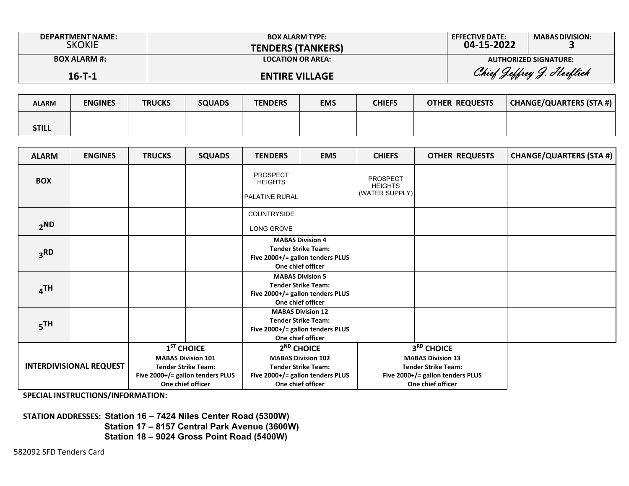| <b>DEPARTMENT NAME:</b><br><b>SKOKIE</b> | <b>BOX ALARM TYPE:</b><br><b>TENDERS (TANKERS)</b> | <b>EFFECTIVE DATE:</b><br>04-15-2022 | <b>MABAS DIVISION:</b>       |
|------------------------------------------|----------------------------------------------------|--------------------------------------|------------------------------|
| <b>BOX ALARM #:</b>                      | <b>LOCATION OR AREA:</b>                           |                                      | <b>AUTHORIZED SIGNATURE:</b> |
| $16 - T - 1$                             | <b>ENTIRE VILLAGE</b>                              |                                      | Chief Jeffrey J. Hoeflich    |

| <b>ALARM</b> | <b>ENGINES</b> | <b>TRUCKS</b> | <b>SQUADS</b> | <b>TENDERS</b> | <b>EMS</b> | <b>CHIEFS</b> | <b>OTHER REQUESTS</b> | CHANGE/QUARTERS (STA #) |
|--------------|----------------|---------------|---------------|----------------|------------|---------------|-----------------------|-------------------------|
| STILL        |                |               |               |                |            |               |                       |                         |

| <b>ALARM</b>                   | <b>ENGINES</b> | <b>TRUCKS</b>                                                                                                                    | <b>SQUADS</b> | <b>TENDERS</b>                                                                                                                             | <b>EMS</b> | <b>CHIEFS</b>                                                                                                                 | <b>OTHER REQUESTS</b> | <b>CHANGE/QUARTERS (STA #)</b> |
|--------------------------------|----------------|----------------------------------------------------------------------------------------------------------------------------------|---------------|--------------------------------------------------------------------------------------------------------------------------------------------|------------|-------------------------------------------------------------------------------------------------------------------------------|-----------------------|--------------------------------|
| <b>BOX</b>                     |                |                                                                                                                                  |               | <b>PROSPECT</b><br><b>HEIGHTS</b><br><b>PALATINE RURAL</b>                                                                                 |            | PROSPECT<br><b>HEIGHTS</b><br>(WATER SUPPLY)                                                                                  |                       |                                |
| 2 <sub>ND</sub>                |                |                                                                                                                                  |               | COUNTRYSIDE<br>LONG GROVE                                                                                                                  |            |                                                                                                                               |                       |                                |
| 3 <sub>3</sub> RD              |                |                                                                                                                                  |               | <b>MABAS Division 4</b><br><b>Tender Strike Team:</b><br>Five 2000+/= gallon tenders PLUS<br>One chief officer                             |            |                                                                                                                               |                       |                                |
| 4TH                            |                |                                                                                                                                  |               | <b>MABAS Division 5</b><br><b>Tender Strike Team:</b><br>Five 2000+/= gallon tenders PLUS<br>One chief officer                             |            |                                                                                                                               |                       |                                |
| $5$ TH                         |                |                                                                                                                                  |               | <b>MABAS Division 12</b><br><b>Tender Strike Team:</b><br>Five 2000+/= gallon tenders PLUS<br>One chief officer                            |            |                                                                                                                               |                       |                                |
| <b>INTERDIVISIONAL REQUEST</b> |                | $1ST$ CHOICE<br><b>MABAS Division 101</b><br><b>Tender Strike Team:</b><br>Five 2000+/= gallon tenders PLUS<br>One chief officer |               | 2 <sup>ND</sup> CHOICE<br><b>MABAS Division 102</b><br><b>Tender Strike Team:</b><br>Five 2000+/= gallon tenders PLUS<br>One chief officer |            | 3RD CHOICE<br><b>MABAS Division 13</b><br><b>Tender Strike Team:</b><br>Five 2000+/= gallon tenders PLUS<br>One chief officer |                       |                                |

**STATION ADDRESSES: Station 16 – 7424 Niles Center Road (5300W) Station 17 – 8157 Central Park Avenue (3600W) Station 18 – 9024 Gross Point Road (5400W)**